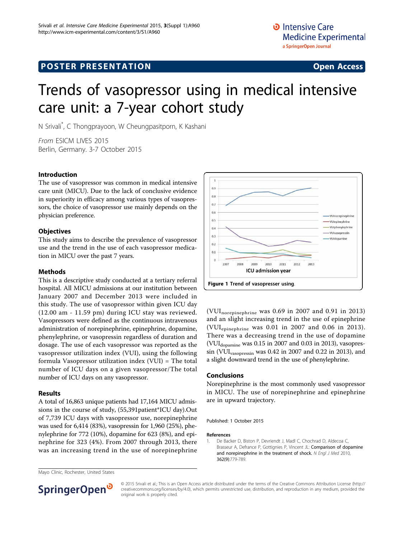# Trends of vasopressor using in medical intensive care unit: a 7-year cohort study

N Srivali\* , C Thongprayoon, W Cheungpasitporn, K Kashani

From ESICM LIVES 2015 Berlin, Germany. 3-7 October 2015

#### Introduction

The use of vasopressor was common in medical intensive care unit (MICU). Due to the lack of conclusive evidence in superiority in efficacy among various types of vasopressors, the choice of vasopressor use mainly depends on the physician preference.

### **Objectives**

This study aims to describe the prevalence of vasopressor use and the trend in the use of each vasopressor medication in MICU over the past 7 years.

#### Methods

This is a descriptive study conducted at a tertiary referral hospital. All MICU admissions at our institution between January 2007 and December 2013 were included in this study. The use of vasopressor within given ICU day (12.00 am - 11.59 pm) during ICU stay was reviewed. Vasopressors were defined as the continuous intravenous administration of norepinephrine, epinephrine, dopamine, phenylephrine, or vasopressin regardless of duration and dosage. The use of each vasopressor was reported as the vasopressor utilization index (VUI), using the following formula Vasopressor utilization index (VUI) = The total number of ICU days on a given vasopressor/The total number of ICU days on any vasopressor.

#### Results

A total of 16,863 unique patients had 17,164 MICU admissions in the course of study, (55,391patient\*ICU day).Out of 7,739 ICU days with vasopressor use, norepinephrine was used for 6,414 (83%), vasopressin for 1,960 (25%), phenylephrine for 772 (10%), dopamine for 623 (8%), and epinephrine for 323 (4%). From 2007 through 2013, there was an increasing trend in the use of norepinephrine



(VUInorepinephrine was 0.69 in 2007 and 0.91 in 2013) and an slight increasing trend in the use of epinephrine (VUIepinephrine was 0.01 in 2007 and 0.06 in 2013). There was a decreasing trend in the use of dopamine (VUIdopamine was 0.15 in 2007 and 0.03 in 2013), vasopressin (VUIvasopressin was 0.42 in 2007 and 0.22 in 2013), and a slight downward trend in the use of phenylephrine.

#### Conclusions

Norepinephrine is the most commonly used vasopressor in MICU. The use of norepinephrine and epinephrine are in upward trajectory.

Published: 1 October 2015

#### References

1. De Backer D, Biston P, Devriendt J, Madl C, Chochrad D, Aldecoa C, Brasseur A, Defrance P, Gottignies P, Vincent JL: [Comparison of dopamine](http://www.ncbi.nlm.nih.gov/pubmed/20200382?dopt=Abstract) [and norepinephrine in the treatment of shock.](http://www.ncbi.nlm.nih.gov/pubmed/20200382?dopt=Abstract) N Engl J Med 2010, 362(9):779-789.

Mayo Clinic, Rochester, United States



© 2015 Srivali et al.; This is an Open Access article distributed under the terms of the Creative Commons Attribution License [\(http://](http://creativecommons.org/licenses/by/4.0) [creativecommons.org/licenses/by/4.0](http://creativecommons.org/licenses/by/4.0)), which permits unrestricted use, distribution, and reproduction in any medium, provided the original work is properly cited.